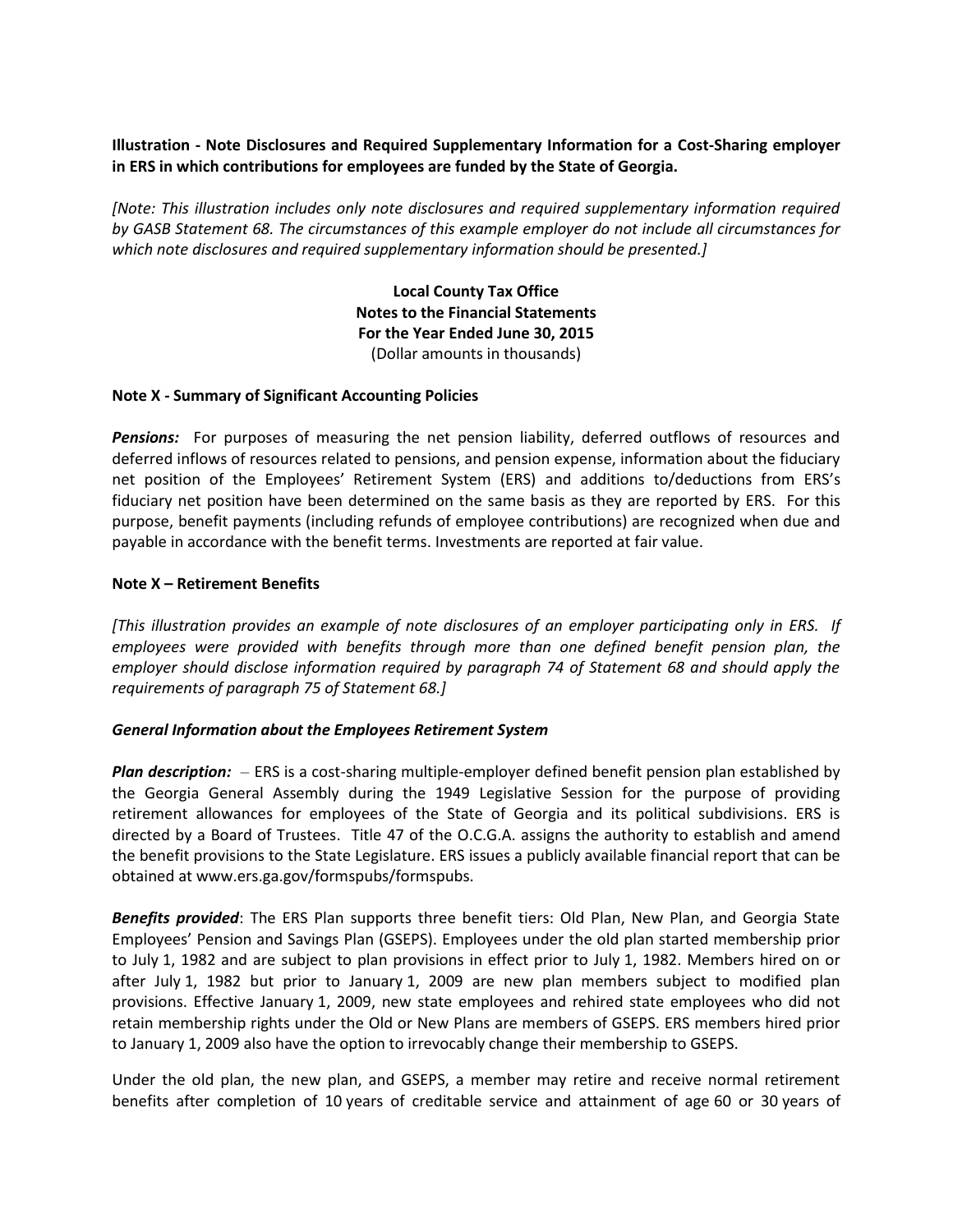# **Illustration - Note Disclosures and Required Supplementary Information for a Cost-Sharing employer in ERS in which contributions for employees are funded by the State of Georgia.**

*[Note: This illustration includes only note disclosures and required supplementary information required by GASB Statement 68. The circumstances of this example employer do not include all circumstances for which note disclosures and required supplementary information should be presented.]*

> **Local County Tax Office Notes to the Financial Statements For the Year Ended June 30, 2015** (Dollar amounts in thousands)

### **Note X - Summary of Significant Accounting Policies**

*Pensions:* For purposes of measuring the net pension liability, deferred outflows of resources and deferred inflows of resources related to pensions, and pension expense, information about the fiduciary net position of the Employees' Retirement System (ERS) and additions to/deductions from ERS's fiduciary net position have been determined on the same basis as they are reported by ERS. For this purpose, benefit payments (including refunds of employee contributions) are recognized when due and payable in accordance with the benefit terms. Investments are reported at fair value.

### **Note X – Retirement Benefits**

*[This illustration provides an example of note disclosures of an employer participating only in ERS. If employees were provided with benefits through more than one defined benefit pension plan, the employer should disclose information required by paragraph 74 of Statement 68 and should apply the requirements of paragraph 75 of Statement 68.]*

### *General Information about the Employees Retirement System*

*Plan description:* – ERS is a cost-sharing multiple-employer defined benefit pension plan established by the Georgia General Assembly during the 1949 Legislative Session for the purpose of providing retirement allowances for employees of the State of Georgia and its political subdivisions. ERS is directed by a Board of Trustees. Title 47 of the O.C.G.A. assigns the authority to establish and amend the benefit provisions to the State Legislature. ERS issues a publicly available financial report that can be obtained at www.ers.ga.gov/formspubs/formspubs.

*Benefits provided*: The ERS Plan supports three benefit tiers: Old Plan, New Plan, and Georgia State Employees' Pension and Savings Plan (GSEPS). Employees under the old plan started membership prior to July 1, 1982 and are subject to plan provisions in effect prior to July 1, 1982. Members hired on or after July 1, 1982 but prior to January 1, 2009 are new plan members subject to modified plan provisions. Effective January 1, 2009, new state employees and rehired state employees who did not retain membership rights under the Old or New Plans are members of GSEPS. ERS members hired prior to January 1, 2009 also have the option to irrevocably change their membership to GSEPS.

Under the old plan, the new plan, and GSEPS, a member may retire and receive normal retirement benefits after completion of 10 years of creditable service and attainment of age 60 or 30 years of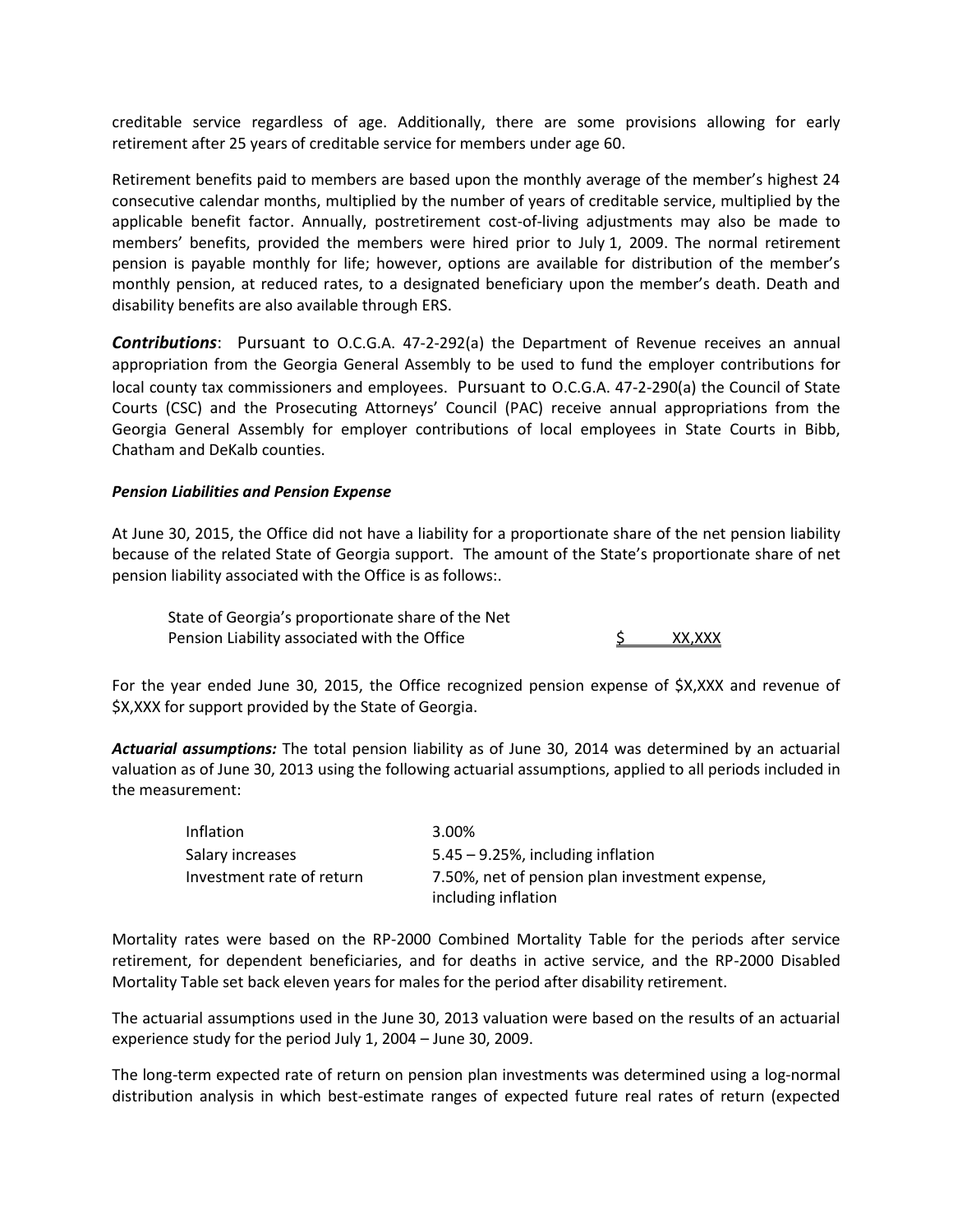creditable service regardless of age. Additionally, there are some provisions allowing for early retirement after 25 years of creditable service for members under age 60.

Retirement benefits paid to members are based upon the monthly average of the member's highest 24 consecutive calendar months, multiplied by the number of years of creditable service, multiplied by the applicable benefit factor. Annually, postretirement cost-of-living adjustments may also be made to members' benefits, provided the members were hired prior to July 1, 2009. The normal retirement pension is payable monthly for life; however, options are available for distribution of the member's monthly pension, at reduced rates, to a designated beneficiary upon the member's death. Death and disability benefits are also available through ERS.

*Contributions*: Pursuant to O.C.G.A. 47-2-292(a) the Department of Revenue receives an annual appropriation from the Georgia General Assembly to be used to fund the employer contributions for local county tax commissioners and employees. Pursuant to O.C.G.A. 47-2-290(a) the Council of State Courts (CSC) and the Prosecuting Attorneys' Council (PAC) receive annual appropriations from the Georgia General Assembly for employer contributions of local employees in State Courts in Bibb, Chatham and DeKalb counties.

#### *Pension Liabilities and Pension Expense*

At June 30, 2015, the Office did not have a liability for a proportionate share of the net pension liability because of the related State of Georgia support. The amount of the State's proportionate share of net pension liability associated with the Office is as follows:.

State of Georgia's proportionate share of the Net Pension Liability associated with the Office  $\frac{1}{2}$  XX,XXX

For the year ended June 30, 2015, the Office recognized pension expense of \$X,XXX and revenue of \$X,XXX for support provided by the State of Georgia.

*Actuarial assumptions:* The total pension liability as of June 30, 2014 was determined by an actuarial valuation as of June 30, 2013 using the following actuarial assumptions, applied to all periods included in the measurement:

| Inflation                 | 3.00%                                                                 |
|---------------------------|-----------------------------------------------------------------------|
| Salary increases          | $5.45 - 9.25$ %, including inflation                                  |
| Investment rate of return | 7.50%, net of pension plan investment expense,<br>including inflation |

Mortality rates were based on the RP-2000 Combined Mortality Table for the periods after service retirement, for dependent beneficiaries, and for deaths in active service, and the RP-2000 Disabled Mortality Table set back eleven years for males for the period after disability retirement.

The actuarial assumptions used in the June 30, 2013 valuation were based on the results of an actuarial experience study for the period July 1, 2004 – June 30, 2009.

The long-term expected rate of return on pension plan investments was determined using a log-normal distribution analysis in which best-estimate ranges of expected future real rates of return (expected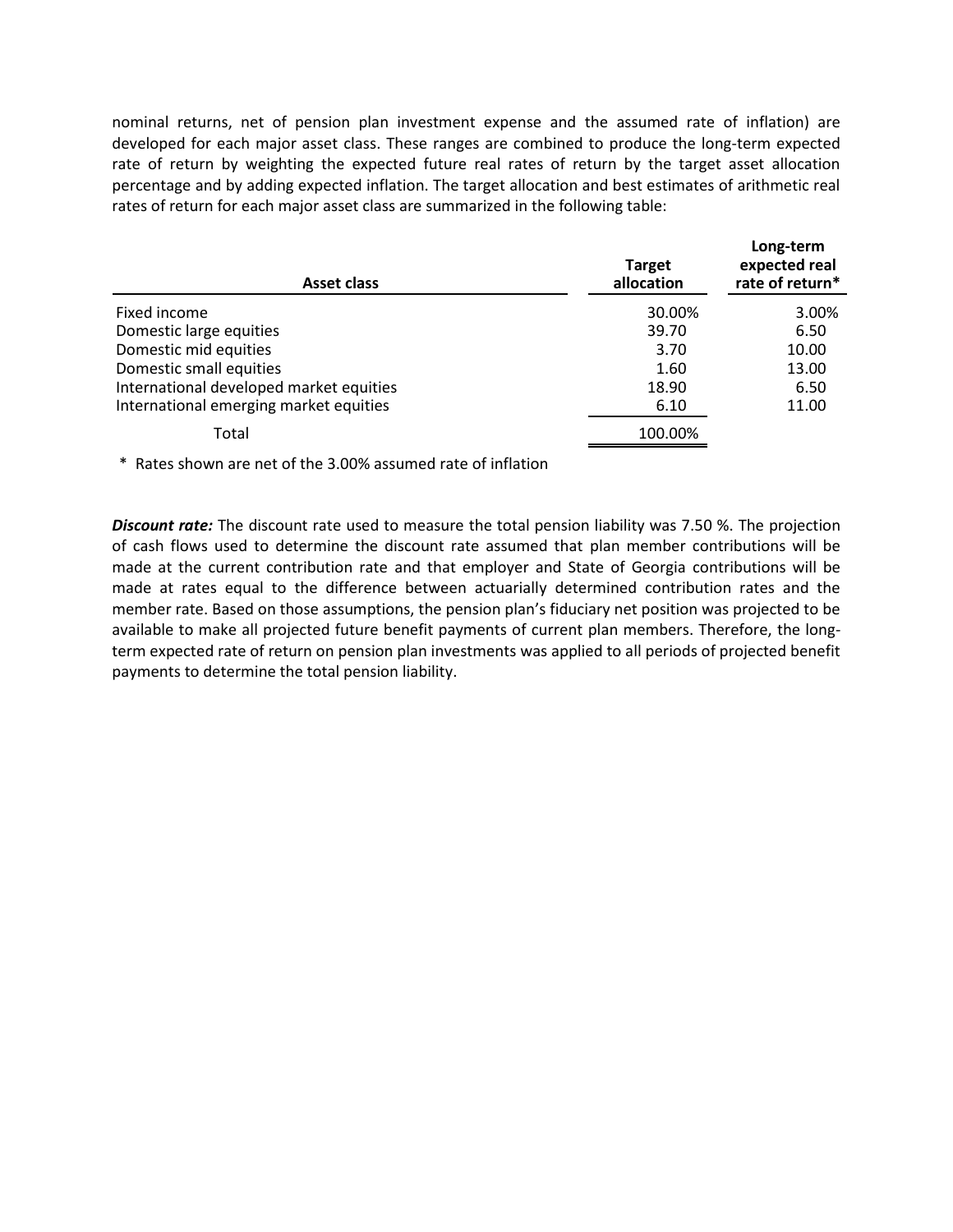nominal returns, net of pension plan investment expense and the assumed rate of inflation) are developed for each major asset class. These ranges are combined to produce the long-term expected rate of return by weighting the expected future real rates of return by the target asset allocation percentage and by adding expected inflation. The target allocation and best estimates of arithmetic real rates of return for each major asset class are summarized in the following table:

| Asset class                             | <b>Target</b><br>allocation | Long-term<br>expected real<br>rate of return* |
|-----------------------------------------|-----------------------------|-----------------------------------------------|
| Fixed income                            | 30.00%                      | 3.00%                                         |
| Domestic large equities                 | 39.70                       | 6.50                                          |
| Domestic mid equities                   | 3.70                        | 10.00                                         |
| Domestic small equities                 | 1.60                        | 13.00                                         |
| International developed market equities | 18.90                       | 6.50                                          |
| International emerging market equities  | 6.10                        | 11.00                                         |
| Total                                   | 100.00%                     |                                               |

\* Rates shown are net of the 3.00% assumed rate of inflation

*Discount rate:* The discount rate used to measure the total pension liability was 7.50 %. The projection of cash flows used to determine the discount rate assumed that plan member contributions will be made at the current contribution rate and that employer and State of Georgia contributions will be made at rates equal to the difference between actuarially determined contribution rates and the member rate. Based on those assumptions, the pension plan's fiduciary net position was projected to be available to make all projected future benefit payments of current plan members. Therefore, the longterm expected rate of return on pension plan investments was applied to all periods of projected benefit payments to determine the total pension liability.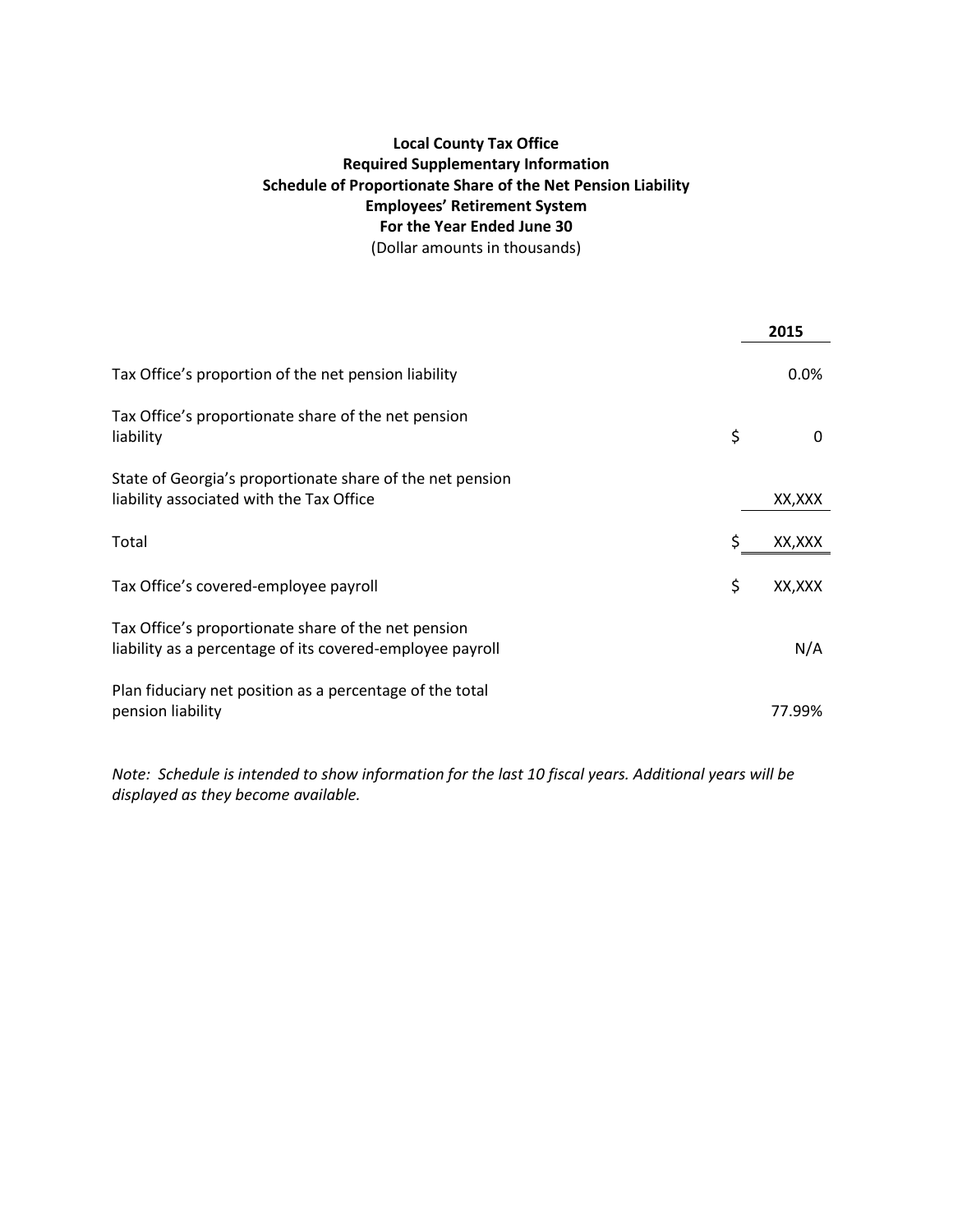# **Local County Tax Office Required Supplementary Information Schedule of Proportionate Share of the Net Pension Liability Employees' Retirement System For the Year Ended June 30** (Dollar amounts in thousands)

|                                                                                                                  | 2015          |
|------------------------------------------------------------------------------------------------------------------|---------------|
| Tax Office's proportion of the net pension liability                                                             | 0.0%          |
| Tax Office's proportionate share of the net pension<br>liability                                                 | \$<br>0       |
| State of Georgia's proportionate share of the net pension<br>liability associated with the Tax Office            | XX,XXX        |
| Total                                                                                                            | \$<br>XX,XXX  |
| Tax Office's covered-employee payroll                                                                            | \$<br>XX, XXX |
| Tax Office's proportionate share of the net pension<br>liability as a percentage of its covered-employee payroll | N/A           |
| Plan fiduciary net position as a percentage of the total<br>pension liability                                    | 77.99%        |

*Note: Schedule is intended to show information for the last 10 fiscal years. Additional years will be displayed as they become available.*